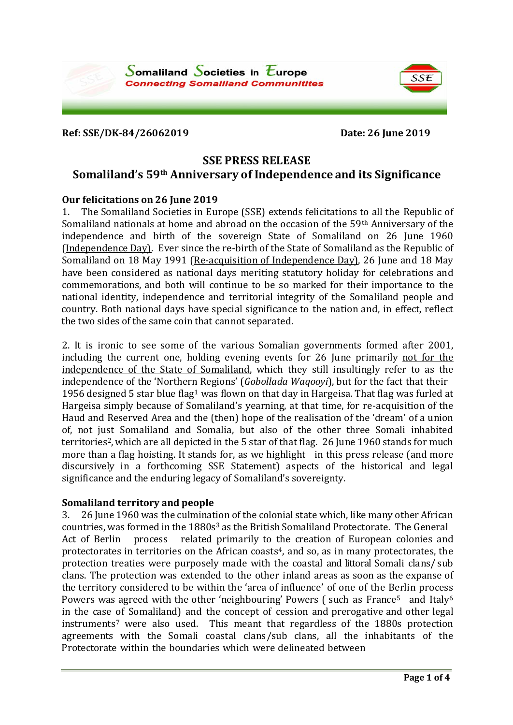

#### **Ref: SSE/DK-84/26062019 Date: 26 June 2019**

### **SSE PRESS RELEASE**

# **Somaliland's 59th Anniversary of Independence and its Significance**

#### **Our felicitations on 26 June 2019**

1. The Somaliland Societies in Europe (SSE) extends felicitations to all the Republic of Somaliland nationals at home and abroad on the occasion of the 59th Anniversary of the independence and birth of the sovereign State of Somaliland on 26 June 1960 (Independence Day). Ever since the re-birth of the State of Somaliland as the Republic of Somaliland on 18 May 1991 (Re-acquisition of Independence Day), 26 June and 18 May have been considered as national days meriting statutory holiday for celebrations and commemorations, and both will continue to be so marked for their importance to the national identity, independence and territorial integrity of the Somaliland people and country. Both national days have special significance to the nation and, in effect, reflect the two sides of the same coin that cannot separated.

2. It is ironic to see some of the various Somalian governments formed after 2001, including the current one, holding evening events for 26 June primarily not for the independence of the State of Somaliland, which they still insultingly refer to as the independence of the 'Northern Regions' (*Gobollada Waqooyi*), but for the fact that their 1956 designed 5 star blue flag<sup>1</sup> was flown on that day in Hargeisa. That flag was furled at Hargeisa simply because of Somaliland's yearning, at that time, for re-acquisition of the Haud and Reserved Area and the (then) hope of the realisation of the 'dream' of a union of, not just Somaliland and Somalia, but also of the other three Somali inhabited territories<sup>2</sup>, which are all depicted in the 5 star of that flag. 26 June 1960 stands for much more than a flag hoisting. It stands for, as we highlight in this press release (and more discursively in a forthcoming SSE Statement) aspects of the historical and legal significance and the enduring legacy of Somaliland's sovereignty.

#### **Somaliland territory and people**

3. 26 June 1960 was the culmination of the colonial state which, like many other African countries, was formed in the 1880s<sup>3</sup> as the British Somaliland Protectorate. The General<br>Act of Berlin process related primarily to the creation of European colonies and related primarily to the creation of European colonies and protectorates in territories on the African coasts<sup>4</sup>, and so, as in many protectorates, the protection treaties were purposely made with the coastal and littoral Somali clans/ sub clans. The protection was extended to the other inland areas as soon as the expanse of the territory considered to be within the 'area of influence' of one of the Berlin process Powers was agreed with the other 'neighbouring' Powers (such as France<sup>5</sup> and Italy<sup>6</sup> in the case of Somaliland) and the concept of cession and prerogative and other legal instruments7 were also used. This meant that regardless of the 1880s protection agreements with the Somali coastal clans/sub clans, all the inhabitants of the Protectorate within the boundaries which were delineated between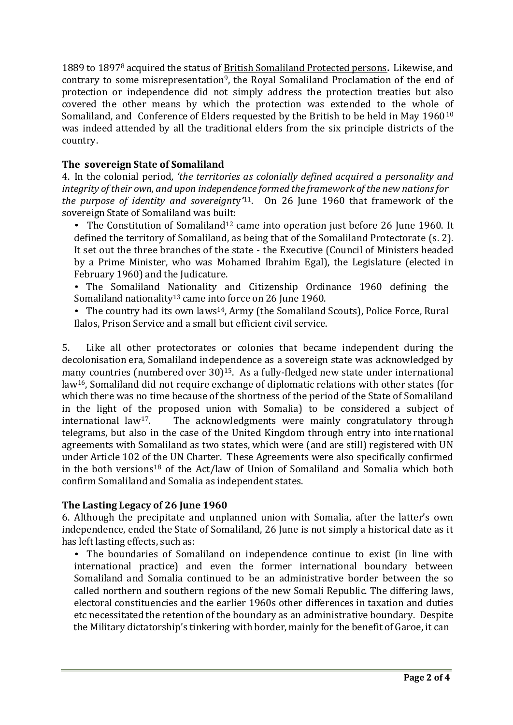1889 to 18978 acquired the status of British Somaliland Protected persons**.** Likewise, and contrary to some misrepresentation<sup>9</sup>, the Royal Somaliland Proclamation of the end of protection or independence did not simply address the protection treaties but also covered the other means by which the protection was extended to the whole of Somaliland, and Conference of Elders requested by the British to be held in May 1960<sup>10</sup> was indeed attended by all the traditional elders from the six principle districts of the country.

# **The sovereign State of Somaliland**

4. In the colonial period*, 'the territories as colonially defined acquired a personality and integrity of their own, and upon independence formed the framework of the new nationsfor the purpose of identity and sovereignt*y*'* 11. On 26 June 1960 that framework of the sovereign State of Somaliland was built:

• The Constitution of Somaliland<sup>12</sup> came into operation just before 26 June 1960. It defined the territory of Somaliland, as being that of the Somaliland Protectorate (s. 2). It set out the three branches of the state - the Executive (Council of Ministers headed by a Prime Minister, who was Mohamed Ibrahim Egal), the Legislature (elected in February 1960) and the Judicature.

• The Somaliland Nationality and Citizenship Ordinance 1960 defining the Somaliland nationality<sup>13</sup> came into force on 26 June 1960.

• The country had its own laws<sup>14</sup>, Army (the Somaliland Scouts), Police Force, Rural Ilalos, Prison Service and a small but efficient civil service.

5. Like all other protectorates or colonies that became independent during the decolonisation era, Somaliland independence as a sovereign state was acknowledged by many countries (numbered over 30)<sup>15</sup>. As a fully-fledged new state under international law16, Somaliland did not require exchange of diplomatic relations with other states (for which there was no time because of the shortness of the period of the State of Somaliland in the light of the proposed union with Somalia) to be considered a subject of international law<sup>17</sup>. The acknowledgments were mainly congratulatory through The acknowledgments were mainly congratulatory through telegrams, but also in the case of the United Kingdom through entry into international agreements with Somaliland as two states, which were (and are still) registered with UN under Article 102 of the UN Charter. These Agreements were also specifically confirmed in the both versions18 of the Act/law of Union of Somaliland and Somalia which both confirm Somaliland and Somalia as independent states.

# **The Lasting Legacy of 26 June 1960**

6. Although the precipitate and unplanned union with Somalia, after the latter's own independence, ended the State of Somaliland, 26 June is not simply a historical date as it has left lasting effects, such as:

• The boundaries of Somaliland on independence continue to exist (in line with international practice) and even the former international boundary between Somaliland and Somalia continued to be an administrative border between the so called northern and southern regions of the new Somali Republic. The differing laws, electoral constituencies and the earlier 1960s other differences in taxation and duties etc necessitated the retention of the boundary as an administrative boundary. Despite the Military dictatorship's tinkering with border, mainly for the benefit of Garoe, it can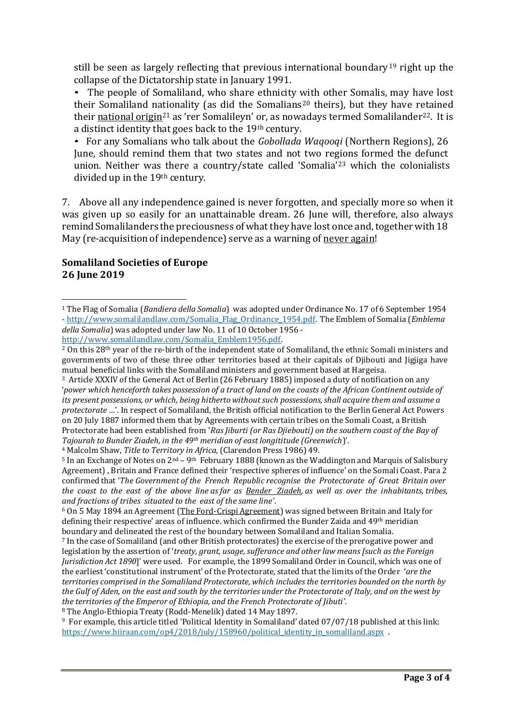still be seen as largely reflecting that previous international boundary<sup>19</sup> right up the collapse of the Dictatorship state in January 1991.

The people of Somaliland, who share ethnicity with other Somalis, may have lost their Somaliland nationality (as did the Somalians<sup>20</sup> theirs), but they have retained their national origin<sup>21</sup> as 'rer Somalileyn' or, as nowadays termed Somalilander<sup>22</sup>. It is a distinct identity that goes back to the 19th century.

• For any Somalians who talk about the *Gobollada Waqooqi* (Northern Regions), <sup>26</sup> June, should remind them that two states and not two regions formed the defunct union. Neither was there a country/state called 'Somalia'23 which the colonialists divided up in the 19th century.

7. Above all any independence gained is never forgotten, and specially more so when it was given up so easily for an unattainable dream. 26 June will, therefore, also always remind Somalilanders the preciousness of what they have lost once and, together with 18 May (re-acquisition of independence) serve as a warning of never again!

### **Somaliland Societies of Europe 26 June 2019**

<sup>4</sup> Malcolm Shaw, *Title to Territory in Africa,* (Clarendon Press 1986) 49.

9 For example, this article titled 'Political Identity in Somaliland' dated 07/07/18 published at this link: https://www.hiiraan.com/op4/2018/july/158960/political identity in somaliland.aspx .

<sup>1</sup> The Flag of Somalia (*Bandiera della Somalia*) was adopted under Ordinance No. 17 of 6 September 1954 - [http://www.somalilandlaw.com/Somalia\\_Flag\\_Ordinance\\_1954.pdf.](http://www.somalilandlaw.com/Somalia_Flag_Ordinance_1954.pdf) The Emblem of Somalia (*Emblema della Somalia*) was adopted under law No. 11 of 10 October 1956 [http://www.somalilandlaw.com/Somalia\\_Emblem1956.pdf.](http://www.somalilandlaw.com/Somalia_Emblem1956.pdf)

<sup>&</sup>lt;sup>2</sup> On this 28<sup>th</sup> year of the re-birth of the independent state of Somaliland, the ethnic Somali ministers and governments of two of these three other territories based at their capitals of Djibouti and Jigjiga have mutual beneficial links with the Somaliland ministers and government based at Hargeisa.

<sup>3</sup> Article XXXIV of the General Act of Berlin (26 February 1885) imposed a duty of notification on any '*power which henceforth takes possession of a tract of land on the coasts of the African Continent outside of its present possessions, or which, being hitherto without such possessions,shall acquire them and assume a protectorate …*'. In respect of Somaliland, the British official notification to the Berlin General Act Powers on 20 July 1887 informed them that by Agreements with certain tribes on the Somali Coast, a British Protectorate had been established from '*Ras Jiburti (or Ras Djiebouti) on the southern coast of the Bay of Tajourah to Bunder Ziadeh, in the 49th meridian of east longititude (Greenwich*)'.

 $5$  In an Exchange of Notes on  $2<sup>nd</sup> - 9<sup>th</sup>$  February 1888 (known as the Waddington and Marquis of Salisbury Agreement) , Britain and France defined their 'respective spheres of influence' on the Somali Coast. Para 2 confirmed that '*The Government of the French Republic recognise the Protectorate of Great Britain over*  the coast to the east of the above line as far as Bender Ziadeh, as well as over the inhabitants, tribes, *and fractions of tribes situated to the east of the same line'*.

<sup>6</sup> On 5 May 1894 an Agreement (The Ford-Crispi Agreement) was signed between Britain and Italy for defining their respective' areas of influence. which confirmed the Bunder Zaida and 49th meridian boundary and delineated the rest of the boundary between Somaliland and Italian Somalia.

<sup>7</sup> In the case of Somaliland (and other British protectorates) the exercise of the prerogative power and legislation by the assertion of '*treaty, grant, usage, sufferance and other law means [such as the Foreign Jurisdiction Act 1890*]' were used. For example, the 1899 Somaliland Order in Council, which was one of the earliest 'constitutional instrument' of the Protectorate, stated that the limits of the Order '*are the territories comprised in the Somaliland Protectorate, which includes the territories bounded on the north by the Gulf of Aden, on the east and south by the territories under the Protectorate of Italy, and on the west by the territories of the Emperor of Ethiopia, and the French Protectorate of Jibuti'*.

<sup>8</sup> The Anglo-Ethiopia Treaty (Rodd-Menelik) dated 14 May 1897.